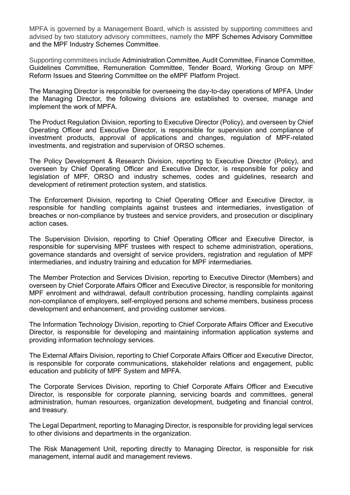MPFA is governed by a Management Board, which is assisted by supporting committees and advised by two statutory advisory committees, namely the MPF Schemes Advisory Committee and the MPF Industry Schemes Committee.

Supporting committees include Administration Committee, Audit Committee, Finance Committee, Guidelines Committee, Remuneration Committee, Tender Board, Working Group on MPF Reform Issues and Steering Committee on the eMPF Platform Project.

The Managing Director is responsible for overseeing the day-to-day operations of MPFA. Under the Managing Director, the following divisions are established to oversee, manage and implement the work of MPFA.

The Product Regulation Division, reporting to Executive Director (Policy), and overseen by Chief Operating Officer and Executive Director, is responsible for supervision and compliance of investment products, approval of applications and changes, regulation of MPF-related investments, and registration and supervision of ORSO schemes.

The Policy Development & Research Division, reporting to Executive Director (Policy), and overseen by Chief Operating Officer and Executive Director, is responsible for policy and legislation of MPF, ORSO and industry schemes, codes and guidelines, research and development of retirement protection system, and statistics.

The Enforcement Division, reporting to Chief Operating Officer and Executive Director, is responsible for handling complaints against trustees and intermediaries, investigation of breaches or non-compliance by trustees and service providers, and prosecution or disciplinary action cases.

The Supervision Division, reporting to Chief Operating Officer and Executive Director, is responsible for supervising MPF trustees with respect to scheme administration, operations, governance standards and oversight of service providers, registration and regulation of MPF intermediaries, and industry training and education for MPF intermediaries.

The Member Protection and Services Division, reporting to Executive Director (Members) and overseen by Chief Corporate Affairs Officer and Executive Director, is responsible for monitoring MPF enrolment and withdrawal, default contribution processing, handling complaints against non-compliance of employers, self-employed persons and scheme members, business process development and enhancement, and providing customer services.

The Information Technology Division, reporting to Chief Corporate Affairs Officer and Executive Director, is responsible for developing and maintaining information application systems and providing information technology services.

The External Affairs Division, reporting to Chief Corporate Affairs Officer and Executive Director, is responsible for corporate communications, stakeholder relations and engagement, public education and publicity of MPF System and MPFA.

The Corporate Services Division, reporting to Chief Corporate Affairs Officer and Executive Director, is responsible for corporate planning, servicing boards and committees, general administration, human resources, organization development, budgeting and financial control, and treasury.

The Legal Department, reporting to Managing Director, is responsible for providing legal services to other divisions and departments in the organization.

The Risk Management Unit, reporting directly to Managing Director, is responsible for risk management, internal audit and management reviews.